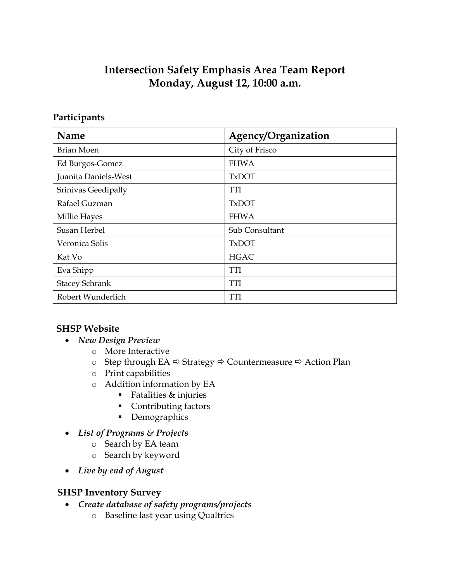# **Intersection Safety Emphasis Area Team Report Monday, August 12, 10:00 a.m.**

## **Participants**

| <b>Name</b>           | Agency/Organization |
|-----------------------|---------------------|
| <b>Brian Moen</b>     | City of Frisco      |
| Ed Burgos-Gomez       | <b>FHWA</b>         |
| Juanita Daniels-West  | <b>TxDOT</b>        |
| Srinivas Geedipally   | TTI                 |
| Rafael Guzman         | <b>TxDOT</b>        |
| Millie Hayes          | <b>FHWA</b>         |
| Susan Herbel          | Sub Consultant      |
| Veronica Solis        | <b>TxDOT</b>        |
| Kat Vo                | <b>HGAC</b>         |
| Eva Shipp             | TTI                 |
| <b>Stacey Schrank</b> | <b>TTI</b>          |
| Robert Wunderlich     | TTI                 |

# **SHSP Website**

- *New Design Preview*
	- o More Interactive
	- o Step through EA  $\Leftrightarrow$  Strategy  $\Leftrightarrow$  Countermeasure  $\Leftrightarrow$  Action Plan
	- o Print capabilities
	- o Addition information by EA
		- Fatalities & injuries
		- **Contributing factors**
		- Demographics
- *List of Programs & Projects*
	- o Search by EA team
	- o Search by keyword
- *Live by end of August*

### **SHSP Inventory Survey**

- *Create database of safety programs/projects*
	- o Baseline last year using Qualtrics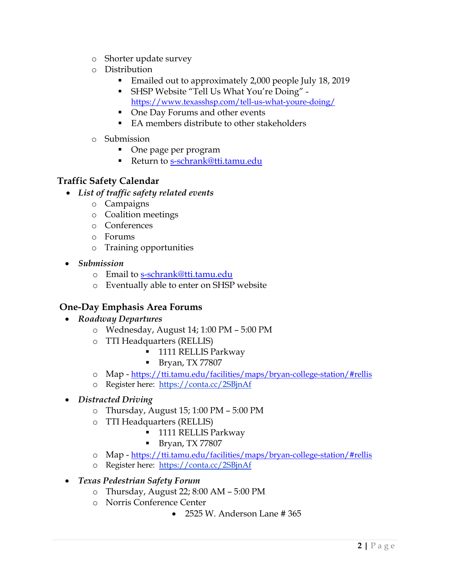- o Shorter update survey
- o Distribution
	- **Emailed out to approximately 2,000 people July 18, 2019**
	- SHSP Website "Tell Us What You're Doing" <https://www.texasshsp.com/tell-us-what-youre-doing/>
	- One Day Forums and other events
	- EA members distribute to other stakeholders
- o Submission
	- One page per program
	- Return to [s-schrank@tti.tamu.edu](mailto:s-schrank@tti.tamu.edu)

## **Traffic Safety Calendar**

- *List of traffic safety related events*
	- o Campaigns
	- o Coalition meetings
	- o Conferences
	- o Forums
	- o Training opportunities
- *Submission*
	- o Email to [s-schrank@tti.tamu.edu](mailto:s-schrank@tti.tamu.edu)
	- o Eventually able to enter on SHSP website

# **One-Day Emphasis Area Forums**

- *Roadway Departures*
	- o Wednesday, August 14; 1:00 PM 5:00 PM
	- o TTI Headquarters (RELLIS)
		- **1111 RELLIS Parkway**
		- **Bryan, TX 77807**
	- o Map <https://tti.tamu.edu/facilities/maps/bryan-college-station/#rellis>
	- o Register here: <https://conta.cc/2SBjnAf>
- *Distracted Driving*
	- o Thursday, August 15; 1:00 PM 5:00 PM
	- o TTI Headquarters (RELLIS)
		- **1111 RELLIS Parkway**
		- Bryan, TX 77807
	- o Map <https://tti.tamu.edu/facilities/maps/bryan-college-station/#rellis>
	- o Register here: <https://conta.cc/2SBjnAf>

### • *Texas Pedestrian Safety Forum*

- o Thursday, August 22; 8:00 AM 5:00 PM
- o Norris Conference Center
	- 2525 W. Anderson Lane # 365